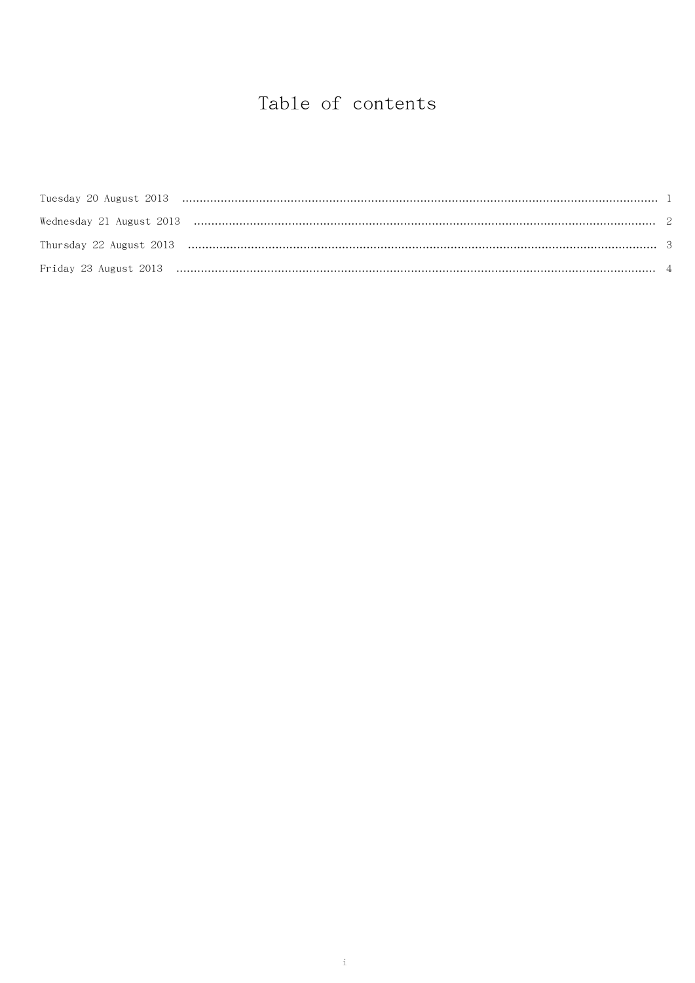# Table of contents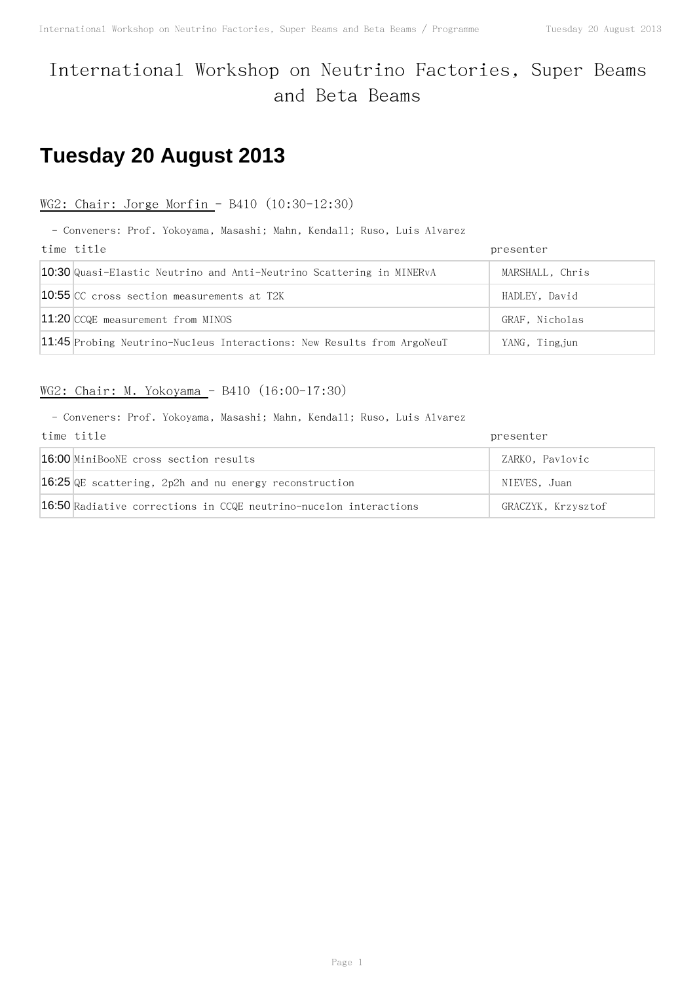## International Workshop on Neutrino Factories, Super Beams and Beta Beams

# **Tuesday 20 August 2013**

### WG2: Chair: Jorge Morfin - B410 (10:30-12:30)

- Conveners: Prof. Yokoyama, Masashi; Mahn, Kendall; Ruso, Luis Alvarez

| time title                                                             | presenter       |
|------------------------------------------------------------------------|-----------------|
| 10:30 Quasi-Elastic Neutrino and Anti-Neutrino Scattering in MINERvA   | MARSHALL, Chris |
| <b>10:55 CC</b> cross section measurements at T2K                      | HADLEY, David   |
| 11:20 CCQE measurement from MINOS                                      | GRAF, Nicholas  |
| 11:45 Probing Neutrino-Nucleus Interactions: New Results from ArgoNeuT | YANG, Ting.jun  |

## WG2: Chair: M. Yokoyama - B410 (16:00-17:30)

| time title                                                        | presenter          |
|-------------------------------------------------------------------|--------------------|
| 16:00 MiniBooNE cross section results                             | ZARKO, Pavlovic    |
| 16:25 QE scattering, 2p2h and nu energy reconstruction            | NIEVES, Juan       |
| 16:50 Radiative corrections in CCQE neutrino-nucelon interactions | GRACZYK, Krzysztof |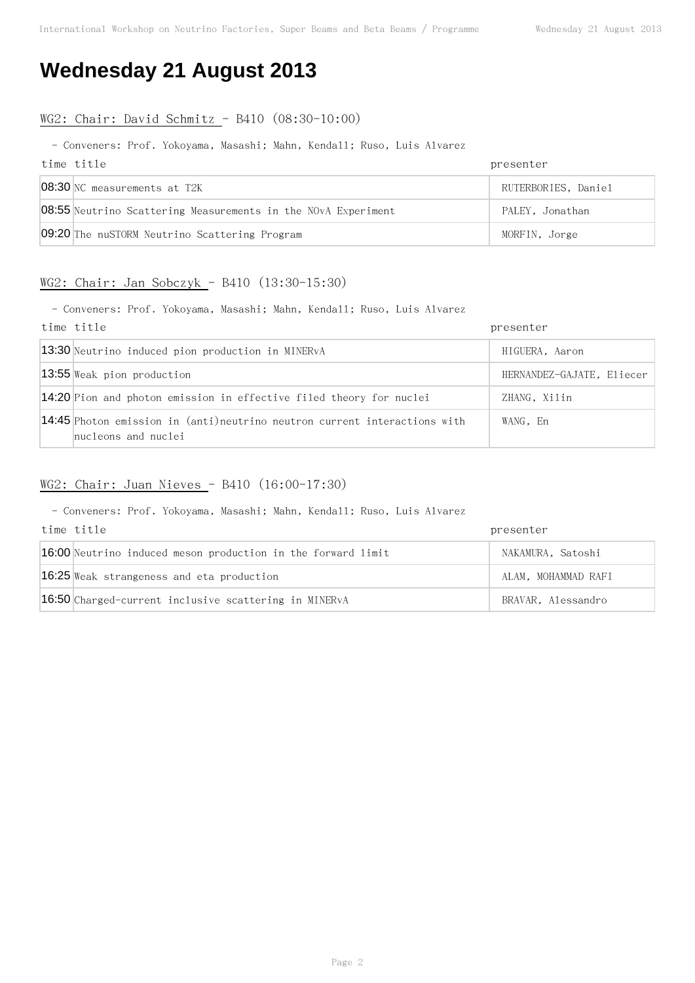## **Wednesday 21 August 2013**

### WG2: Chair: David Schmitz - B410 (08:30-10:00)

#### - Conveners: Prof. Yokoyama, Masashi; Mahn, Kendall; Ruso, Luis Alvarez

| time title                                                           | presenter           |
|----------------------------------------------------------------------|---------------------|
| 08:30 NC measurements at T2K                                         | RUTERBORIES, Daniel |
| <b>08:55</b> Neutrino Scattering Measurements in the NOvA Experiment | PALEY, Jonathan     |
| 09:20 The nuSTORM Neutrino Scattering Program                        | MORFIN, Jorge       |

### WG2: Chair: Jan Sobczyk - B410 (13:30-15:30)

- Conveners: Prof. Yokoyama, Masashi; Mahn, Kendall; Ruso, Luis Alvarez

| time title                                                                                       | presenter                 |
|--------------------------------------------------------------------------------------------------|---------------------------|
| 13:30 Neutrino induced pion production in MINERvA                                                | HIGUERA, Aaron            |
| 13:55 Weak pion production                                                                       | HERNANDEZ-GAJATE, Eliecer |
| 14:20 Pion and photon emission in effective filed theory for nuclei                              | ZHANG, Xilin              |
| 14:45 Photon emission in (anti)neutrino neutron current interactions with<br>nucleons and nuclei | WANG, En                  |

## WG2: Chair: Juan Nieves - B410 (16:00-17:30)

| time title                                                   | presenter           |
|--------------------------------------------------------------|---------------------|
| 16:00 Neutrino induced meson production in the forward limit | NAKAMURA, Satoshi   |
| 16:25 Weak strangeness and eta production                    | ALAM, MOHAMMAD RAFI |
| 16:50 Charged-current inclusive scattering in MINERvA        | BRAVAR, Alessandro  |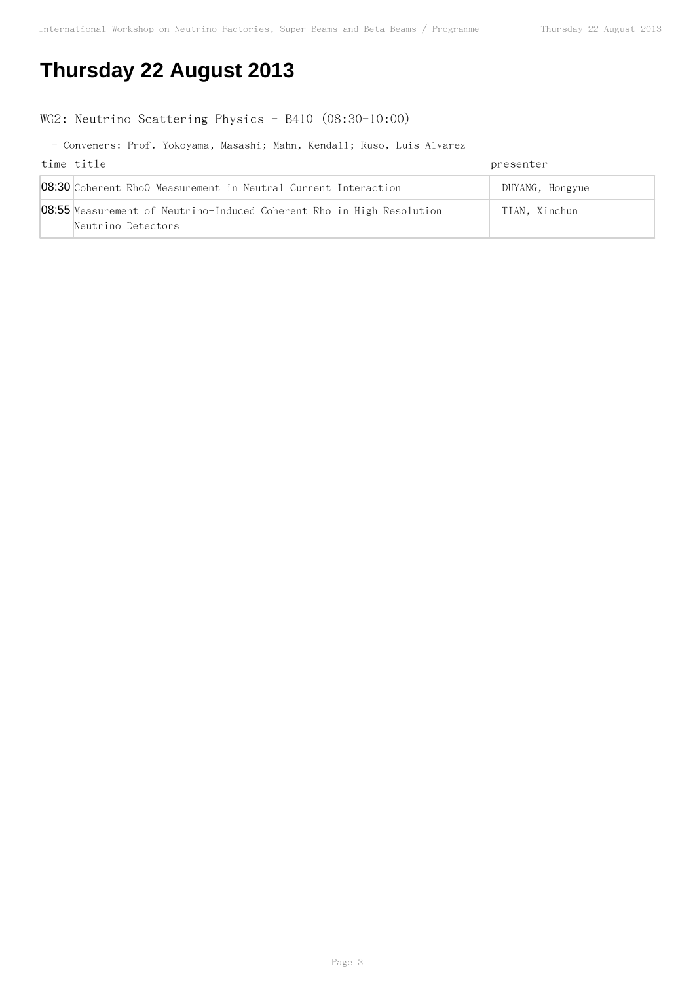# **Thursday 22 August 2013**

### WG2: Neutrino Scattering Physics - B410 (08:30-10:00)

| time title                                                                   | presenter       |
|------------------------------------------------------------------------------|-----------------|
| 08:30 Coherent RhoO Measurement in Neutral Current Interaction               | DUYANG, Hongyue |
| <b>08:55</b> Measurement of Neutrino-Induced Coherent Rho in High Resolution | TIAN. Xinchun   |
| Neutrino Detectors                                                           |                 |